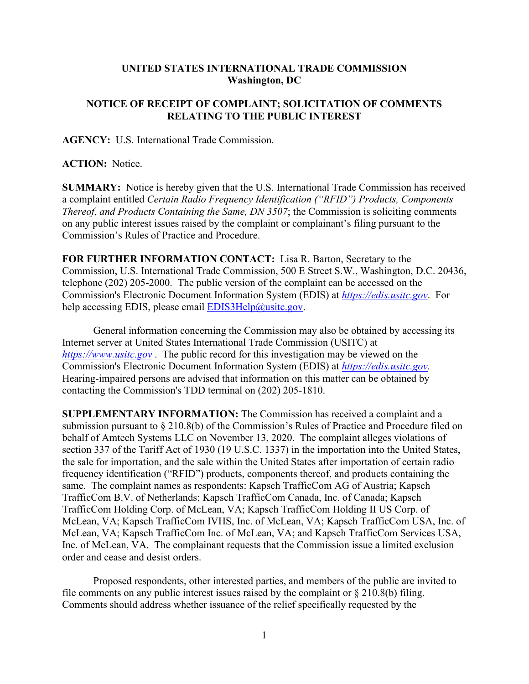## **UNITED STATES INTERNATIONAL TRADE COMMISSION Washington, DC**

## **NOTICE OF RECEIPT OF COMPLAINT; SOLICITATION OF COMMENTS RELATING TO THE PUBLIC INTEREST**

**AGENCY:** U.S. International Trade Commission.

**ACTION:** Notice.

**SUMMARY:** Notice is hereby given that the U.S. International Trade Commission has received a complaint entitled *Certain Radio Frequency Identification ("RFID") Products, Components Thereof, and Products Containing the Same, DN 3507*; the Commission is soliciting comments on any public interest issues raised by the complaint or complainant's filing pursuant to the Commission's Rules of Practice and Procedure.

**FOR FURTHER INFORMATION CONTACT:** Lisa R. Barton, Secretary to the Commission, U.S. International Trade Commission, 500 E Street S.W., Washington, D.C. 20436, telephone (202) 205-2000. The public version of the complaint can be accessed on the Commission's Electronic Document Information System (EDIS) at *[https://edis.usitc.gov](https://edis.usitc.gov/)*. For help accessing EDIS, please email  $EDIS3Help@usite.gov$ .

General information concerning the Commission may also be obtained by accessing its Internet server at United States International Trade Commission (USITC) at *[https://www.usitc.gov](https://www.usitc.gov/)* . The public record for this investigation may be viewed on the Commission's Electronic Document Information System (EDIS) at *[https://edis.usitc.gov.](https://edis.usitc.gov/)* Hearing-impaired persons are advised that information on this matter can be obtained by contacting the Commission's TDD terminal on (202) 205-1810.

**SUPPLEMENTARY INFORMATION:** The Commission has received a complaint and a submission pursuant to § 210.8(b) of the Commission's Rules of Practice and Procedure filed on behalf of Amtech Systems LLC on November 13, 2020. The complaint alleges violations of section 337 of the Tariff Act of 1930 (19 U.S.C. 1337) in the importation into the United States, the sale for importation, and the sale within the United States after importation of certain radio frequency identification ("RFID") products, components thereof, and products containing the same. The complaint names as respondents: Kapsch TrafficCom AG of Austria; Kapsch TrafficCom B.V. of Netherlands; Kapsch TrafficCom Canada, Inc. of Canada; Kapsch TrafficCom Holding Corp. of McLean, VA; Kapsch TrafficCom Holding II US Corp. of McLean, VA; Kapsch TrafficCom IVHS, Inc. of McLean, VA; Kapsch TrafficCom USA, Inc. of McLean, VA; Kapsch TrafficCom Inc. of McLean, VA; and Kapsch TrafficCom Services USA, Inc. of McLean, VA. The complainant requests that the Commission issue a limited exclusion order and cease and desist orders.

Proposed respondents, other interested parties, and members of the public are invited to file comments on any public interest issues raised by the complaint or  $\S 210.8(b)$  filing. Comments should address whether issuance of the relief specifically requested by the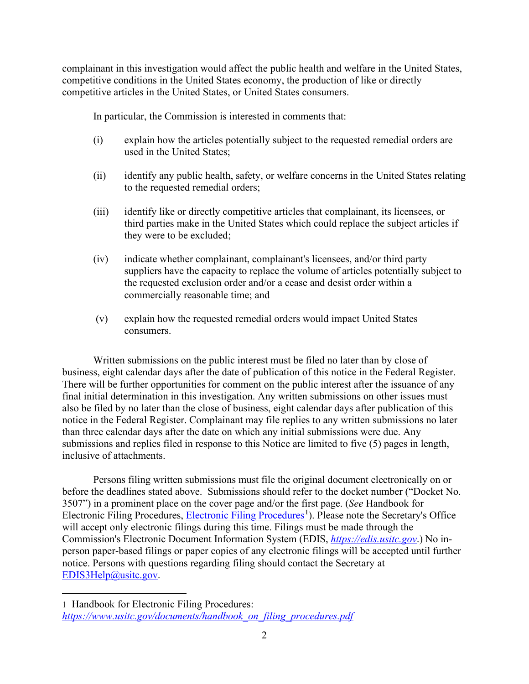complainant in this investigation would affect the public health and welfare in the United States, competitive conditions in the United States economy, the production of like or directly competitive articles in the United States, or United States consumers.

In particular, the Commission is interested in comments that:

- (i) explain how the articles potentially subject to the requested remedial orders are used in the United States;
- (ii) identify any public health, safety, or welfare concerns in the United States relating to the requested remedial orders;
- (iii) identify like or directly competitive articles that complainant, its licensees, or third parties make in the United States which could replace the subject articles if they were to be excluded;
- (iv) indicate whether complainant, complainant's licensees, and/or third party suppliers have the capacity to replace the volume of articles potentially subject to the requested exclusion order and/or a cease and desist order within a commercially reasonable time; and
- (v) explain how the requested remedial orders would impact United States consumers.

Written submissions on the public interest must be filed no later than by close of business, eight calendar days after the date of publication of this notice in the Federal Register. There will be further opportunities for comment on the public interest after the issuance of any final initial determination in this investigation. Any written submissions on other issues must also be filed by no later than the close of business, eight calendar days after publication of this notice in the Federal Register. Complainant may file replies to any written submissions no later than three calendar days after the date on which any initial submissions were due. Any submissions and replies filed in response to this Notice are limited to five (5) pages in length, inclusive of attachments.

Persons filing written submissions must file the original document electronically on or before the deadlines stated above. Submissions should refer to the docket number ("Docket No. 3507") in a prominent place on the cover page and/or the first page. (*See* Handbook for Electronic Filing Procedures, [Electronic Filing Procedures](https://www.usitc.gov/documents/handbook_on_filing_procedures.pdf)<sup>[1](#page-1-0)</sup>). Please note the Secretary's Office will accept only electronic filings during this time. Filings must be made through the Commission's Electronic Document Information System (EDIS, *[https://edis.usitc.gov](https://edis.usitc.gov/)*.) No inperson paper-based filings or paper copies of any electronic filings will be accepted until further notice. Persons with questions regarding filing should contact the Secretary at [EDIS3Help@usitc.gov.](mailto:EDIS3Help@usitc.gov)

<span id="page-1-0"></span><sup>1</sup> Handbook for Electronic Filing Procedures: *[https://www.usitc.gov/documents/handbook\\_on\\_filing\\_procedures.pdf](https://www.usitc.gov/documents/handbook_on_filing_procedures.pdf)*